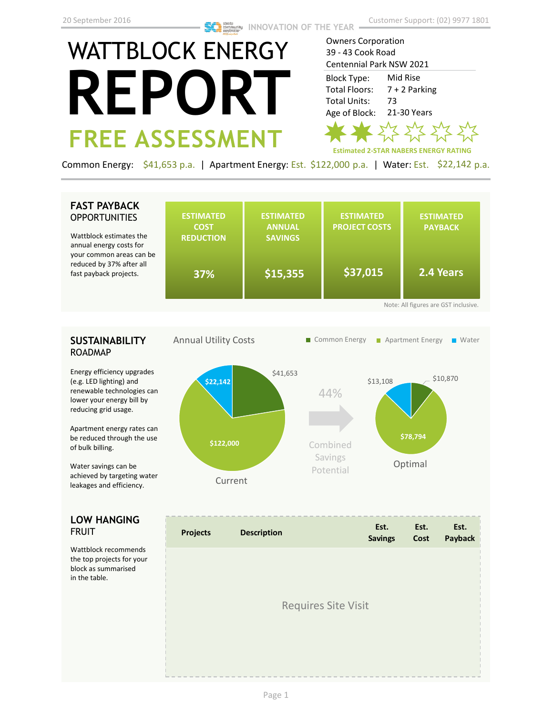# WATTBLOCK ENERGY **REPORT FREE ASSESSMENT**

Owners Corporation 39 - 43 Cook Road Centennial Park NSW 2021

Mid Rise 7 + 2 Parking 73 21-30 Years Block Type: Total Floors: Total Units: Age of Block:



Common Energy: \$41,653 p.a. | Apartment Energy: Est. \$122,000 p.a. | Water: Est. \$22,142 p.a.

## **FAST PAYBACK OPPORTUNITIES**

Wattblock estimates the annual energy costs for your common areas ca reduced by 37% after fast payback projects.

| :he<br>эr    | <b>ESTIMATED</b><br><b>COST</b><br><b>REDUCTION</b> | <b>ESTIMATED</b><br><b>ANNUAL</b><br><b>SAVINGS</b> | <b>ESTIMATED</b><br><b>PROJECT COSTS</b> | <b>ESTIMATED</b><br><b>PAYBACK</b> |  |  |
|--------------|-----------------------------------------------------|-----------------------------------------------------|------------------------------------------|------------------------------------|--|--|
| an be<br>all | 37%                                                 | \$15,355                                            | \$37,015                                 | 2.4 Years                          |  |  |
|              | Note: All figures are GST inclusive.                |                                                     |                                          |                                    |  |  |

### **SUSTAINABILITY** ROADMAP

Energy efficiency upgrades (e.g. LED lighting) and renewable technologies can lower your energy bill by reducing grid usage.

Apartment energy rates can be reduced through the use of bulk billing.

Water savings can be achieved by targeting water leakages and efficiency.

#### **LOW HANGING**  FRUIT

Wattblock recommends the top projects for your block as summarised in the table.



| <b>Projects</b>            | <b>Description</b> | Est.<br><b>Savings</b> | Est.<br>Cost | Est.<br>Payback |  |
|----------------------------|--------------------|------------------------|--------------|-----------------|--|
|                            |                    |                        |              |                 |  |
| <b>Requires Site Visit</b> |                    |                        |              |                 |  |
|                            |                    |                        |              |                 |  |